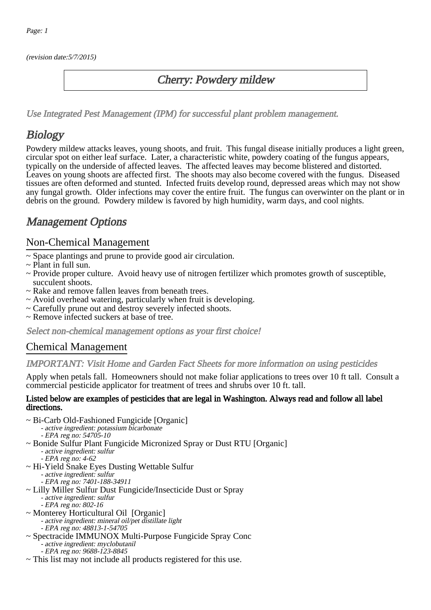(revision date:5/7/2015)

## Cherry: Powdery mildew

[Use Integrated Pest Management \(IPM\) for successful plant problem management.](http://pep.wsu.edu/Home_Garden/H_G_Pesticide_info/urban_Integrated_Pest_Managmen/)

# **Biology**

Powdery mildew attacks leaves, young shoots, and fruit. This fungal disease initially produces a light green, circular spot on either leaf surface. Later, a characteristic white, powdery coating of the fungus appears, typically on the underside of affected leaves. The affected leaves may become blistered and distorted. Leaves on young shoots are affected first. The shoots may also become covered with the fungus. Diseased tissues are often deformed and stunted. Infected fruits develop round, depressed areas which may not show any fungal growth. Older infections may cover the entire fruit. The fungus can overwinter on the plant or in debris on the ground. Powdery mildew is favored by high humidity, warm days, and cool nights.

## Management Options

### Non-Chemical Management

- ~ Space plantings and prune to provide good air circulation.
- ~ Plant in full sun.
- ~ Provide proper culture. Avoid heavy use of nitrogen fertilizer which promotes growth of susceptible, succulent shoots.
- ~ Rake and remove fallen leaves from beneath trees.
- ~ Avoid overhead watering, particularly when fruit is developing.
- ~ Carefully prune out and destroy severely infected shoots.
- ~ Remove infected suckers at base of tree.

Select non-chemical management options as your first choice!

### Chemical Management

#### IMPORTANT: [Visit Home and Garden Fact Sheets for more information on using pesticides](http://pep.wsu.edu/Home_Garden/H_G_Pesticide_info/)

Apply when petals fall. Homeowners should not make foliar applications to trees over 10 ft tall. Consult a commercial pesticide applicator for treatment of trees and shrubs over 10 ft. tall.

#### Listed below are examples of pesticides that are legal in Washington. Always read and follow all label directions.

- ~ Bi-Carb Old-Fashioned Fungicide [Organic]
	- active ingredient: potassium bicarbonate
		- EPA reg no: 54705-10
- ~ Bonide Sulfur Plant Fungicide Micronized Spray or Dust RTU [Organic] - active ingredient: sulfur - EPA reg no: 4-62
- ~ Hi-Yield Snake Eyes Dusting Wettable Sulfur
	- active ingredient: sulfur
- EPA reg no: 7401-188-34911 ~ Lilly Miller Sulfur Dust Fungicide/Insecticide Dust or Spray
	- active ingredient: sulfur
	- EPA reg no: 802-16
- ~ Monterey Horticultural Oil [Organic]
	- -<br>active ingredient: mineral oil/pet distillate light
	- EPA reg no: 48813-1-54705
- ~ Spectracide IMMUNOX Multi-Purpose Fungicide Spray Conc - active ingredient: myclobutanil
- EPA reg no: 9688-123-8845 ~ This list may not include all products registered for this use.